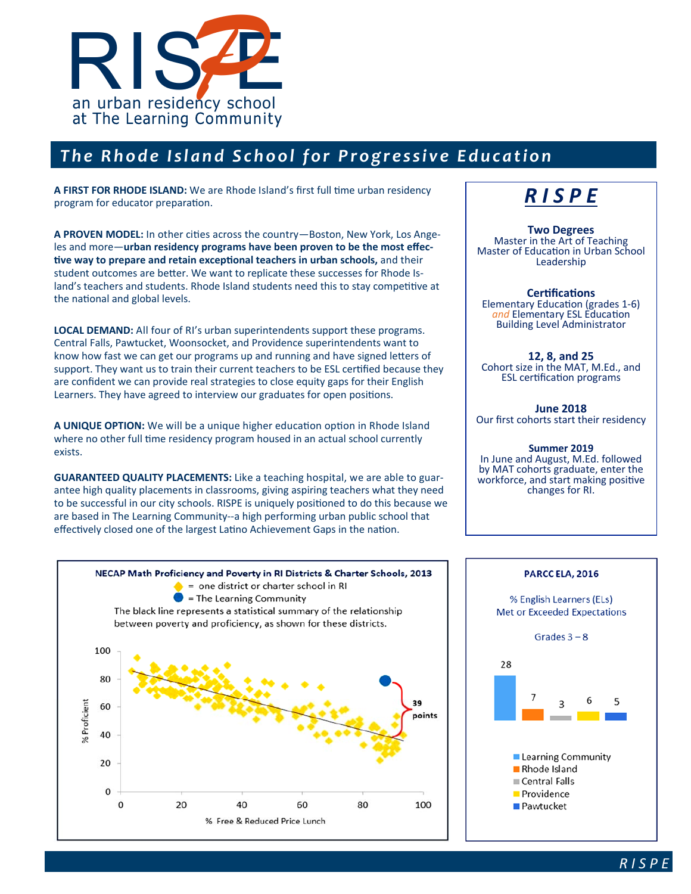

## *The Rhode Island School for Progressive Education*

A FIRST FOR RHODE ISLAND: We are Rhode Island's first full time urban residency program for educator preparation.

A PROVEN MODEL: In other cities across the country-Boston, New York, Los Angeles and more—**urban residency programs have been proven to be the most effec**tive way to prepare and retain exceptional teachers in urban schools, and their student outcomes are better. We want to replicate these successes for Rhode Island's teachers and students. Rhode Island students need this to stay competitive at the national and global levels.

**LOCAL DEMAND:** All four of RI's urban superintendents support these programs. Central Falls, Pawtucket, Woonsocket, and Providence superintendents want to know how fast we can get our programs up and running and have signed letters of support. They want us to train their current teachers to be ESL certified because they are confident we can provide real strategies to close equity gaps for their English Learners. They have agreed to interview our graduates for open positions.

**A UNIQUE OPTION:** We will be a unique higher education option in Rhode Island where no other full time residency program housed in an actual school currently exists.

**GUARANTEED QUALITY PLACEMENTS:** Like a teaching hospital, we are able to guarantee high quality placements in classrooms, giving aspiring teachers what they need to be successful in our city schools. RISPE is uniquely positioned to do this because we are based in The Learning Community--a high performing urban public school that effectively closed one of the largest Latino Achievement Gaps in the nation.

# *R I S P E*

**Two Degrees**  Master in the Art of Teaching Master of Education in Urban School Leadership

**CerƟficaƟons**  Elementary Education (grades 1-6) *and* Elementary ESL EducaƟon Building Level Administrator

**12, 8, and 25**  Cohort size in the MAT, M.Ed., and ESL certification programs

**June 2018**  Our first cohorts start their residency

#### **Summer 2019**

In June and August, M.Ed. followed by MAT cohorts graduate, enter the workforce, and start making positive changes for RI.





% English Learners (ELs) **Met or Exceeded Expectations** Grades  $3 - 8$ 



*R I S P E*